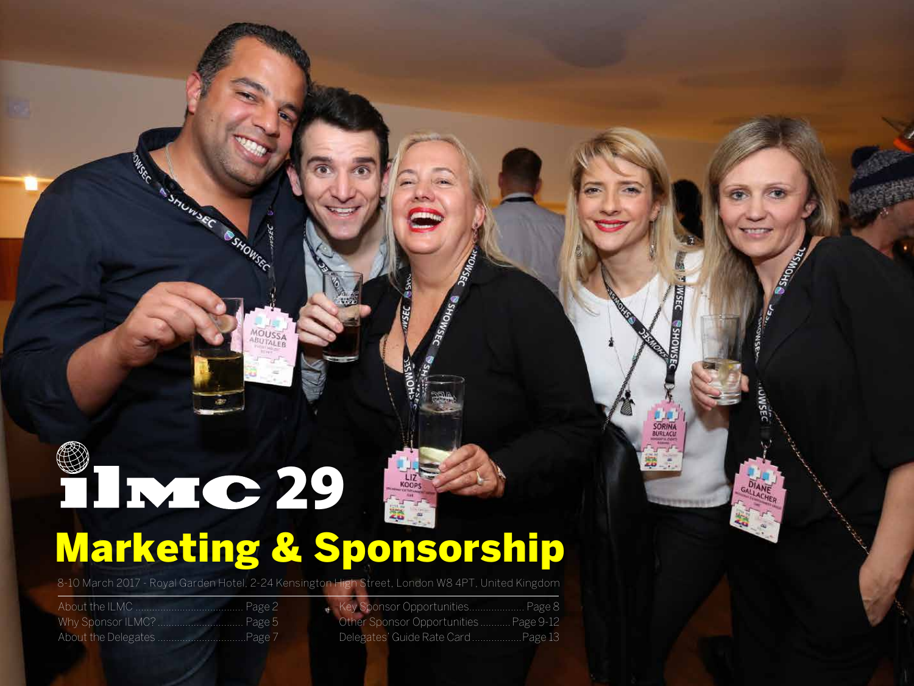### 81220 **ER** Marketing & Sponsorship

8-10 March 2017 - Royal Garden Hotel, 2-24 Kensington High Street, London W8 4PT, United Kingdom

OWSCC

**ASTORATION** 

SHOWSEC

MOUSSA

| Key Sponsor Opportunities Page 8      |
|---------------------------------------|
| Other Sponsor Opportunities Page 9-12 |
| Delegates' Guide Rate Card  Page 13   |

**JADUKEC** 

SMOHS

**STROPHER** 

**SORINA**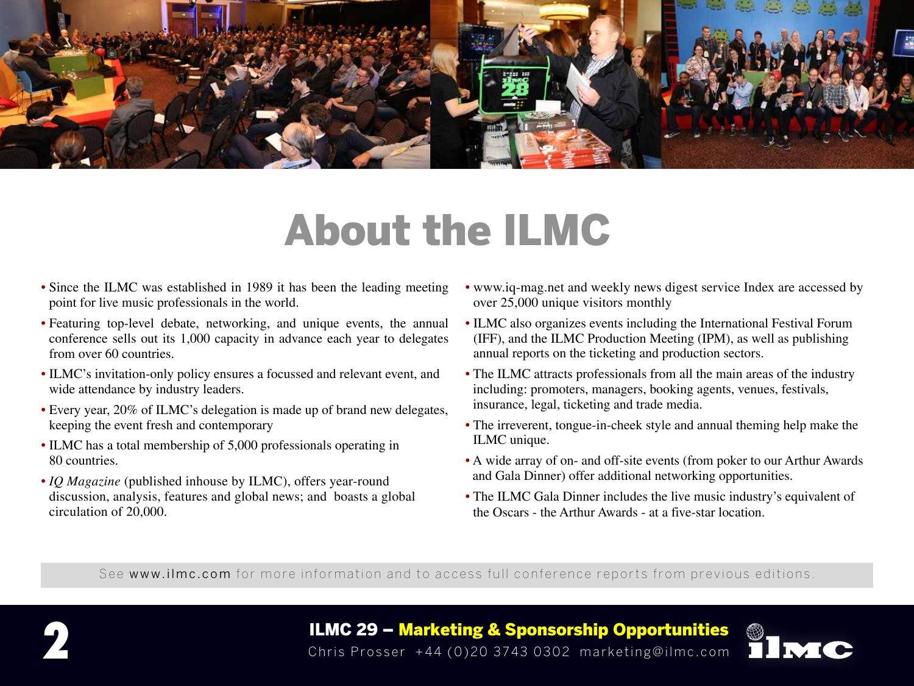

### About the ILMC

- Since the ILMC was established in 1989 it has been the leading meeting point for live music professionals in the world.
- Featuring top-level debate, networking, and unique events, the annual conference sells out its 1,000 capacity in advance each year to delegates from over 60 countries.
- ILMC's invitation-only policy ensures a focussed and relevant event, and wide attendance by industry leaders.
- Every year, 20% of ILMC's delegation is made up of brand new delegates, keeping the event fresh and contemporary
- ILMC has a total membership of 5,000 professionals operating in 80 countries.
- *IQ Magazine* (published inhouse by ILMC), offers year-round discussion, analysis, features and global news; and boasts a global circulation of 20,000.
- www.iq-mag.net and weekly news digest service Index are accessed by over 25,000 unique visitors monthly
- ILMC also organizes events including the International Festival Forum (IFF), and the ILMC Production Meeting (IPM), as well as publishing annual reports on the ticketing and production sectors.
- The ILMC attracts professionals from all the main areas of the industry including: promoters, managers, booking agents, venues, festivals, insurance, legal, ticketing and trade media.
- The irreverent, tongue-in-cheek style and annual theming help make the ILMC unique.
- A wide array of on- and off-site events (from poker to our Arthur Awards and Gala Dinner) offer additional networking opportunities.
- The ILMC Gala Dinner includes the live music industry's equivalent of the Oscars - the Arthur Awards - at a five-star location.

See www.ilmc.com for more information and to access full conference reports from previous editions.



**ILMC 29 – Marketing & Sponsorship Opportunities**<br>Chris Prosser +44 (0)20 3743 0302 marketing@ilmc.com

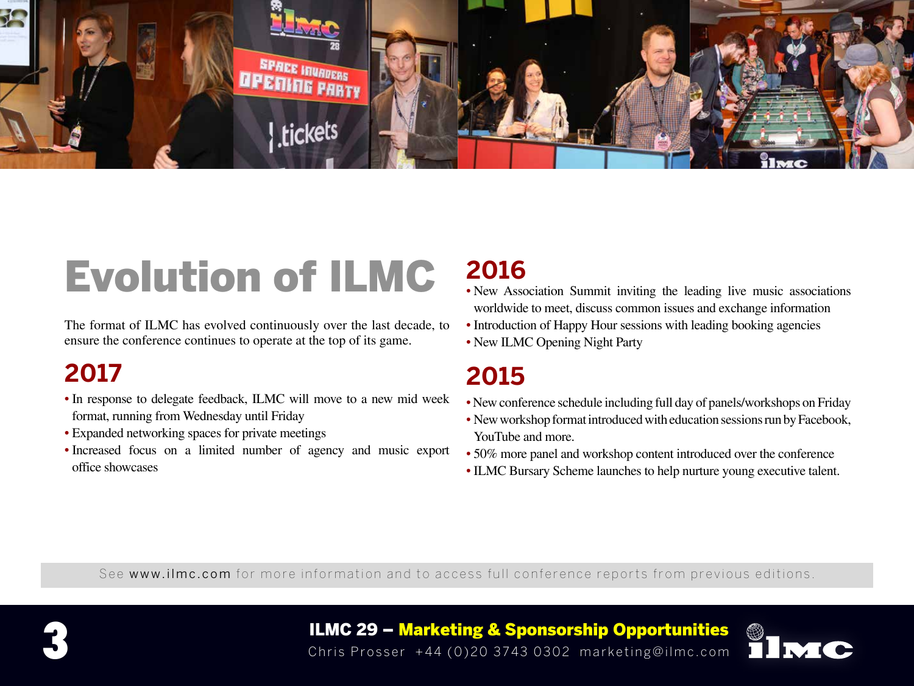

## Evolution of ILMC

The format of ILMC has evolved continuously over the last decade, to ensure the conference continues to operate at the top of its game.

### **2017**

- In response to delegate feedback, ILMC will move to a new mid week format, running from Wednesday until Friday
- Expanded networking spaces for private meetings
- Increased focus on a limited number of agency and music export office showcases

### **2016**

- New Association Summit inviting the leading live music associations worldwide to meet, discuss common issues and exchange information
- Introduction of Happy Hour sessions with leading booking agencies
- New ILMC Opening Night Party

### **2015**

- New conference schedule including full day of panels/workshops on Friday
- New workshop format introduced with education sessions run by Facebook, YouTube and more.
- 50% more panel and workshop content introduced over the conference
- ILMC Bursary Scheme launches to help nurture young executive talent.

See www.ilmc.com for more information and to access full conference reports from previous editions.



ILMC 29 – Marketing & Sponsorship Opportunities **3** Chris Prosser +44 (0)20 3743 0302 marketing@ilmc.com

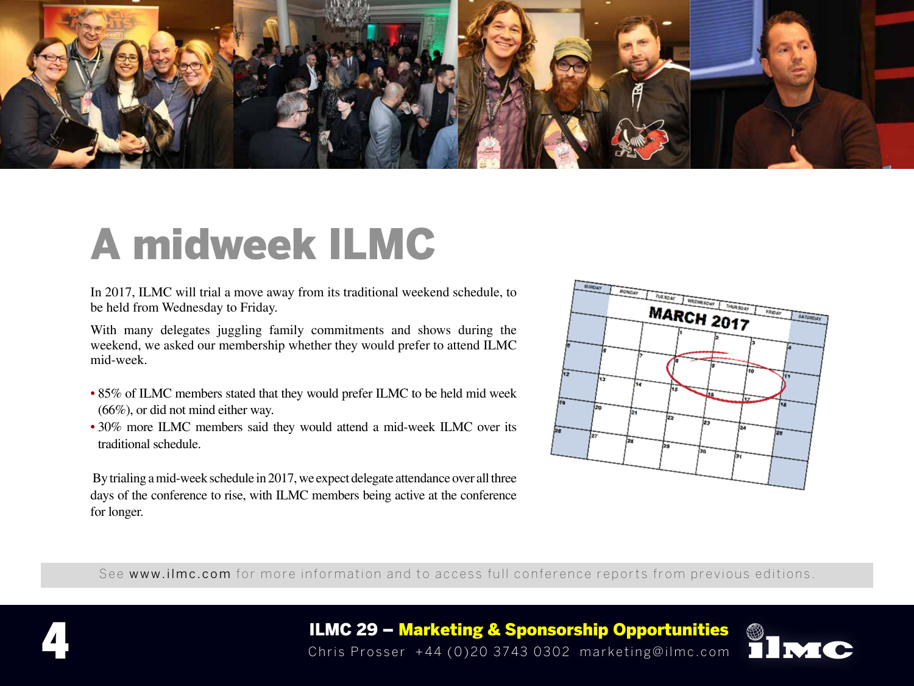

### A midweek ILMC

In 2017, ILMC will trial a move away from its traditional weekend schedule, to be held from Wednesday to Friday.

With many delegates juggling family commitments and shows during the weekend, we asked our membership whether they would prefer to attend ILMC mid-week.

- 85% of ILMC members stated that they would prefer ILMC to be held mid week (66%), or did not mind either way.
- 30% more ILMC members said they would attend a mid-week ILMC over its traditional schedule.

 By trialing a mid-week schedule in 2017, we expect delegate attendance over all three days of the conference to rise, with ILMC members being active at the conference for longer.



See www.ilmc.com for more information and to access full conference reports from previous editions.





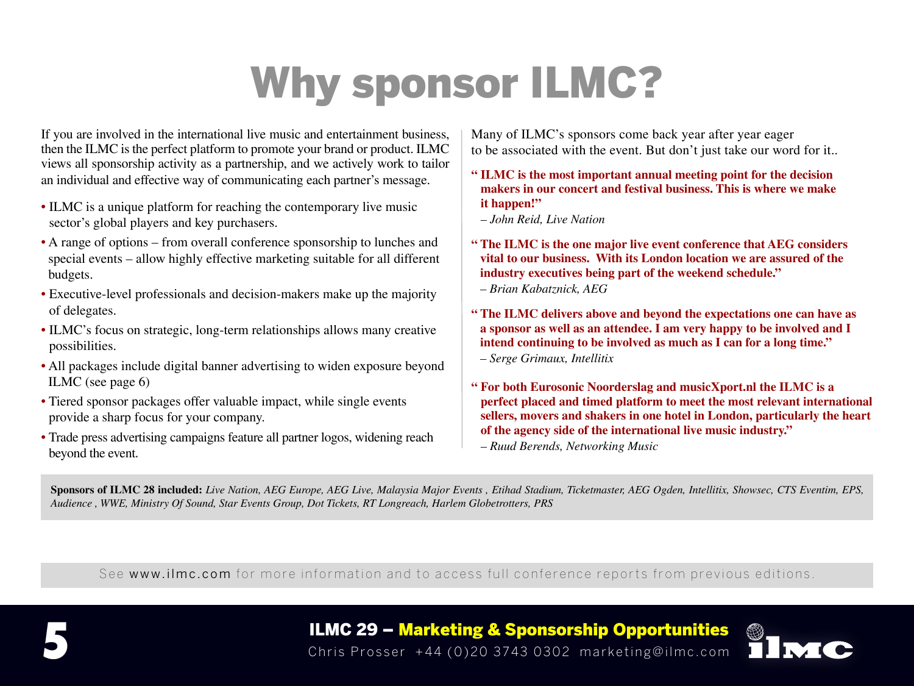## Why sponsor ILMC?

If you are involved in the international live music and entertainment business, then the ILMC is the perfect platform to promote your brand or product. ILMC views all sponsorship activity as a partnership, and we actively work to tailor an individual and effective way of communicating each partner's message.

- ILMC is a unique platform for reaching the contemporary live music sector's global players and key purchasers.
- A range of options from overall conference sponsorship to lunches and special events – allow highly effective marketing suitable for all different budgets.
- Executive-level professionals and decision-makers make up the majority of delegates.
- ILMC's focus on strategic, long-term relationships allows many creative possibilities.
- All packages include digital banner advertising to widen exposure beyond ILMC (see page 6)
- Tiered sponsor packages offer valuable impact, while single events provide a sharp focus for your company.
- Trade press advertising campaigns feature all partner logos, widening reach beyond the event.

Many of ILMC's sponsors come back year after year eager to be associated with the event. But don't just take our word for it..

- **" ILMC is the most important annual meeting point for the decision makers in our concert and festival business. This is where we make it happen!"**
	- *John Reid, Live Nation*
- **" The ILMC is the one major live event conference that AEG considers vital to our business. With its London location we are assured of the industry executives being part of the weekend schedule."** *– Brian Kabatznick, AEG*

- **" The ILMC delivers above and beyond the expectations one can have as a sponsor as well as an attendee. I am very happy to be involved and I intend continuing to be involved as much as I can for a long time."** *– Serge Grimaux, Intellitix*
- **" For both Eurosonic Noorderslag and musicXport.nl the ILMC is a perfect placed and timed platform to meet the most relevant international sellers, movers and shakers in one hotel in London, particularly the heart of the agency side of the international live music industry."**

*– Ruud Berends, Networking Music*

**Sponsors of ILMC 28 included:** *Live Nation, AEG Europe, AEG Live, Malaysia Major Events , Etihad Stadium, Ticketmaster, AEG Ogden, Intellitix, Showsec, CTS Eventim, EPS, Audience , WWE, Ministry Of Sound, Star Events Group, Dot Tickets, RT Longreach, Harlem Globetrotters, PRS*

See www.ilmc.com for more information and to access full conference reports from previous editions.



ILMC 29 – Marketing & Sponsorship Opportunities **5** Chris Prosser +44 (0)20 3743 0302 marketing@ilmc.com

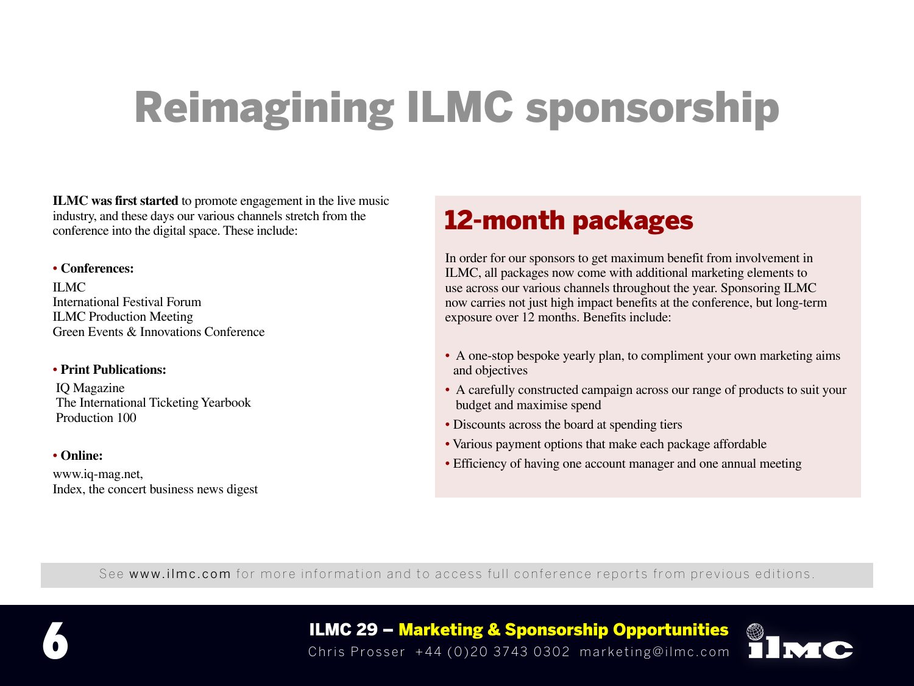# Reimagining ILMC sponsorship

**ILMC was first started** to promote engagement in the live music industry, and these days our various channels stretch from the conference into the digital space. These include:

#### • **Conferences:**

ILMC International Festival Forum ILMC Production Meeting Green Events & Innovations Conference

#### • **Print Publications:**

IQ Magazine The International Ticketing Yearbook Production 100

#### • **Online:**

www.iq-mag.net, Index, the concert business news digest

### 12-month packages

In order for our sponsors to get maximum benefit from involvement in ILMC, all packages now come with additional marketing elements to use across our various channels throughout the year. Sponsoring ILMC now carries not just high impact benefits at the conference, but long-term exposure over 12 months. Benefits include:

- A one-stop bespoke yearly plan, to compliment your own marketing aims and objectives
- A carefully constructed campaign across our range of products to suit your budget and maximise spend
- Discounts across the board at spending tiers
- Various payment options that make each package affordable
- Efficiency of having one account manager and one annual meeting

See www.ilmc.com for more information and to access full conference reports from previous editions.



ILMC 29 – Marketing & Sponsorship Opportunities **6** Chris Prosser +44 (0)20 3743 0302 marketing@ilmc.com

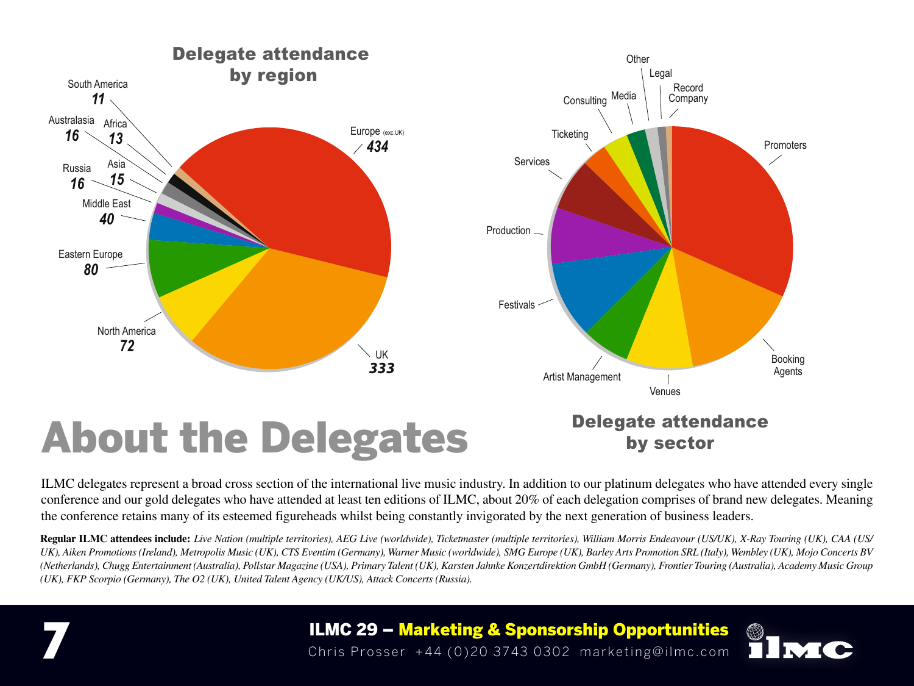

ILMC delegates represent a broad cross section of the international live music industry. In addition to our platinum delegates who have attended every single conference and our gold delegates who have attended at least ten editions of ILMC, about 20% of each delegation comprises of brand new delegates. Meaning the conference retains many of its esteemed figureheads whilst being constantly invigorated by the next generation of business leaders.

**Regular ILMC attendees include:** *Live Nation (multiple territories), AEG Live (worldwide), Ticketmaster (multiple territories), William Morris Endeavour (US/UK), X-Ray Touring (UK), CAA (US/ UK), Aiken Promotions (Ireland), Metropolis Music (UK), CTS Eventim (Germany), Warner Music (worldwide), SMG Europe (UK), Barley Arts Promotion SRL (Italy), Wembley (UK), Mojo Concerts BV (Netherlands), Chugg Entertainment (Australia), Pollstar Magazine (USA), Primary Talent (UK), Karsten Jahnke Konzertdirektion GmbH (Germany), Frontier Touring (Australia), Academy Music Group (UK), FKP Scorpio (Germany), The O2 (UK), United Talent Agency (UK/US), Attack Concerts (Russia).*

ILMC 29 – Marketing & Sponsorship Opportunities **7** Chris Prosser +44 (0)20 3743 0302 marketing@ilmc.com

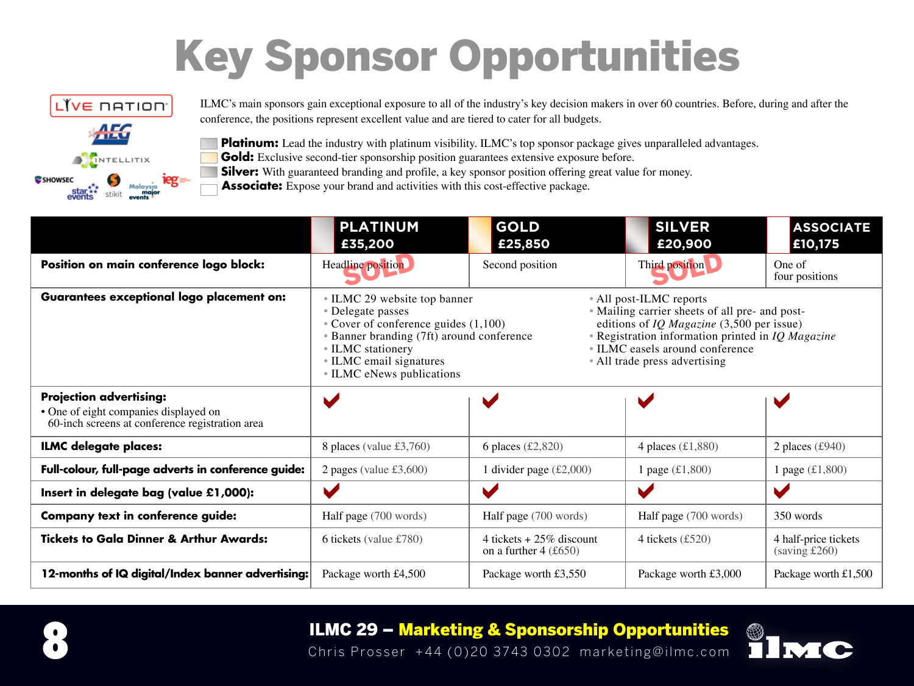# Key Sponsor Opportunities



ILMC's main sponsors gain exceptional exposure to all of the industry's key decision makers in over 60 countries. Before, during and after the conference, the positions represent excellent value and are tiered to cater for all budgets.

**Platinum:** Lead the industry with platinum visibility. ILMC's top sponsor package gives unparalleled advantages.

Gold: Exclusive second-tier sponsorship position guarantees extensive exposure before.

**Silver:** With guaranteed branding and profile, a key sponsor position offering great value for money.

**Associate:** Expose your brand and activities with this cost-effective package.

|                                                                                                                            | <b>PLATINUM</b><br>£35,200                                                                                                                                                                                                                                                                                                                                                                                                                                                        | <b>GOLD</b><br>£25,850                                 | <b>SILVER</b><br>£20,900               | <b>ASSOCIATE</b><br>£10,175                   |
|----------------------------------------------------------------------------------------------------------------------------|-----------------------------------------------------------------------------------------------------------------------------------------------------------------------------------------------------------------------------------------------------------------------------------------------------------------------------------------------------------------------------------------------------------------------------------------------------------------------------------|--------------------------------------------------------|----------------------------------------|-----------------------------------------------|
| Position on main conference logo block:                                                                                    | Headline position                                                                                                                                                                                                                                                                                                                                                                                                                                                                 | Second position                                        | Third position                         | One of<br>four positions                      |
| <b>Guarantees exceptional logo placement on:</b>                                                                           | • All post-ILMC reports<br>• ILMC 29 website top banner<br>• Mailing carrier sheets of all pre- and post-<br>• Delegate passes<br>• Cover of conference guides $(1,100)$<br>editions of <i>IQ Magazine</i> $(3,500$ per issue)<br>• Registration information printed in IQ Magazine<br>• Banner branding (7ft) around conference<br>• ILMC easels around conference<br>• ILMC stationery<br>• ILMC email signatures<br>• All trade press advertising<br>• ILMC eNews publications |                                                        |                                        |                                               |
| <b>Projection advertising:</b><br>• One of eight companies displayed on<br>60-inch screens at conference registration area | $\blacktriangleright$                                                                                                                                                                                                                                                                                                                                                                                                                                                             |                                                        |                                        |                                               |
| <b>ILMC delegate places:</b>                                                                                               | 8 places (value $\text{\pounds}3,760$ )                                                                                                                                                                                                                                                                                                                                                                                                                                           | 6 places $(\text{\pounds}2,820)$                       | 4 places $(\text{\textsterling}1,880)$ | 2 places $(\text{\pounds}940)$                |
| Full-colour, full-page adverts in conference guide:                                                                        | 2 pages (value $£3,600$ )                                                                                                                                                                                                                                                                                                                                                                                                                                                         | 1 divider page $(\text{\pounds}2,000)$                 | 1 page $(\pounds1, 800)$               | 1 page $(\pounds1, 800)$                      |
| Insert in delegate bag (value £1,000):                                                                                     | V                                                                                                                                                                                                                                                                                                                                                                                                                                                                                 | $\blacktriangleright$                                  |                                        | $\blacktriangleright$                         |
| <b>Company text in conference guide:</b>                                                                                   | Half page (700 words)                                                                                                                                                                                                                                                                                                                                                                                                                                                             | Half page (700 words)                                  | Half page (700 words)                  | 350 words                                     |
| <b>Tickets to Gala Dinner &amp; Arthur Awards:</b>                                                                         | 6 tickets (value $£780$ )                                                                                                                                                                                                                                                                                                                                                                                                                                                         | 4 tickets + $25\%$ discount<br>on a further $4$ (£650) | 4 tickets $(\text{\pounds}520)$        | 4 half-price tickets<br>$(saving \pounds260)$ |
| 12-months of IQ digital/Index banner advertising:                                                                          | Package worth £4,500                                                                                                                                                                                                                                                                                                                                                                                                                                                              | Package worth £3,550                                   | Package worth £3,000                   | Package worth £1,500                          |



### ILMC 29 – Marketing & Sponsorship Opportunities **8** Chris Prosser +44 (0)20 3743 0302 marketing@ilmc.com

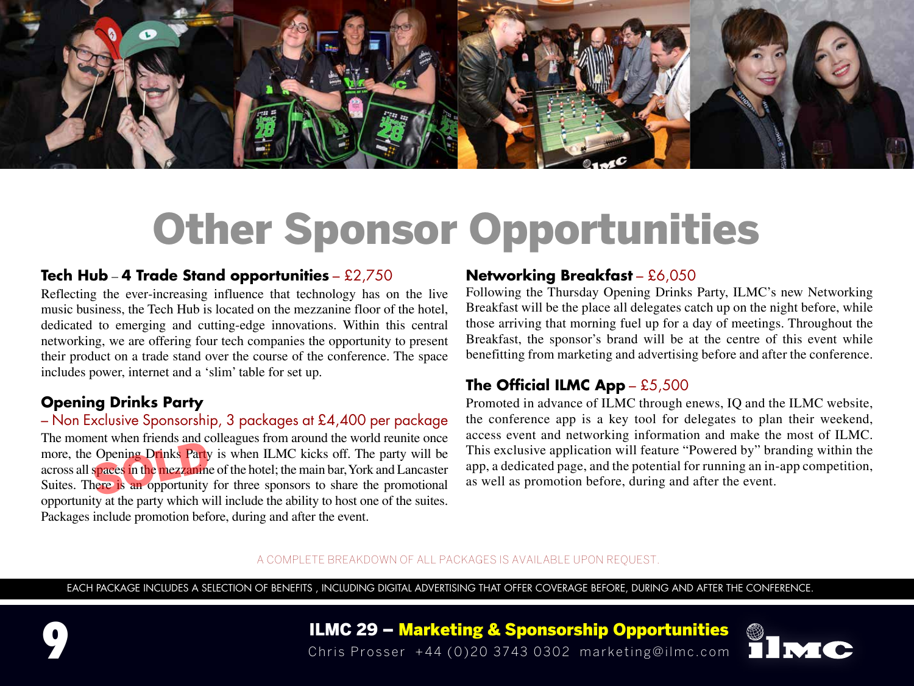

#### **Tech Hub** – **4 Trade Stand opportunities** – £2,750

Reflecting the ever-increasing influence that technology has on the live music business, the Tech Hub is located on the mezzanine floor of the hotel, dedicated to emerging and cutting-edge innovations. Within this central networking, we are offering four tech companies the opportunity to present their product on a trade stand over the course of the conference. The space includes power, internet and a 'slim' table for set up.

#### **Opening Drinks Party**

– Non Exclusive Sponsorship, 3 packages at £4,400 per package The moment when friends and colleagues from around the world reunite once more, the Opening Drinks Party is when ILMC kicks off. The party will be across all spaces in the mezzanine of the hotel; the main bar, York and Lancaster Suites. There is an opportunity for three sponsors to share the promotional opportunity at the party which will include the ability to host one of the suites. Packages include promotion before, during and after the event.

#### **Networking Breakfast** – £6,050

Following the Thursday Opening Drinks Party, ILMC's new Networking Breakfast will be the place all delegates catch up on the night before, while those arriving that morning fuel up for a day of meetings. Throughout the Breakfast, the sponsor's brand will be at the centre of this event while benefitting from marketing and advertising before and after the conference.

#### **The Official ILMC App** – £5,500

Promoted in advance of ILMC through enews, IQ and the ILMC website, the conference app is a key tool for delegates to plan their weekend, access event and networking information and make the most of ILMC. This exclusive application will feature "Powered by" branding within the app, a dedicated page, and the potential for running an in-app competition, as well as promotion before, during and after the event.

#### A COMPLETE BREAKDOWN OF ALL PACKAGES IS AVAILABLE UPON REQUEST.

EACH PACKAGE INCLUDES A SELECTION OF BENEFITS , INCLUDING DIGITAL ADVERTISING THAT OFFER COVERAGE BEFORE, DURING AND AFTER THE CONFERENCE.

ILMC 29 – Marketing & Sponsorship Opportunities **9** Chris Prosser +44 (0)20 3743 0302 marketing@ilmc.com

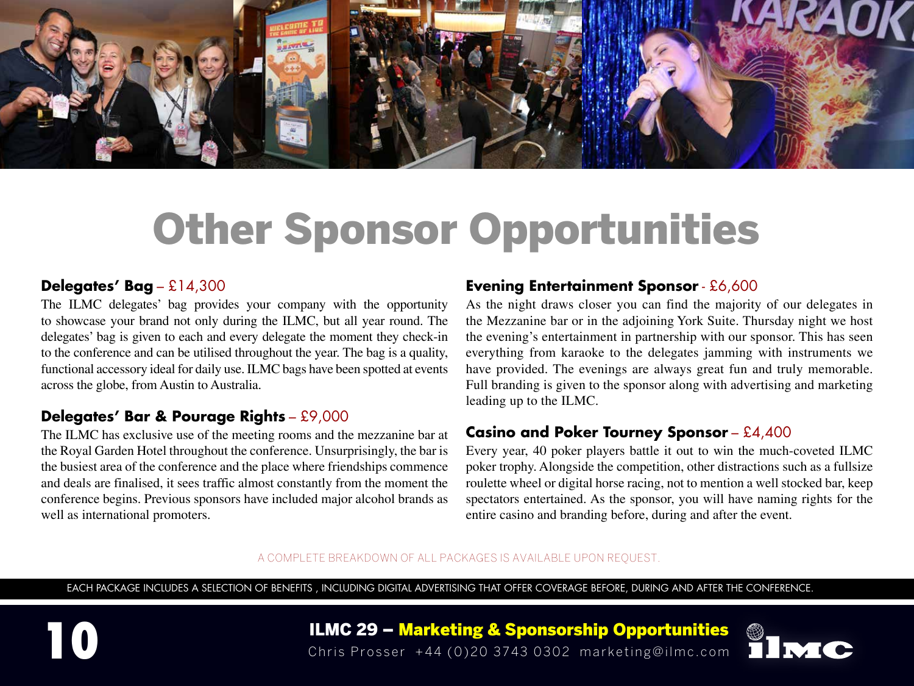

#### **Delegates' Bag** – £14,300

The ILMC delegates' bag provides your company with the opportunity to showcase your brand not only during the ILMC, but all year round. The delegates' bag is given to each and every delegate the moment they check-in to the conference and can be utilised throughout the year. The bag is a quality, functional accessory ideal for daily use. ILMC bags have been spotted at events across the globe, from Austin to Australia.

#### **Delegates' Bar & Pourage Rights** – £9,000

The ILMC has exclusive use of the meeting rooms and the mezzanine bar at the Royal Garden Hotel throughout the conference. Unsurprisingly, the bar is the busiest area of the conference and the place where friendships commence and deals are finalised, it sees traffic almost constantly from the moment the conference begins. Previous sponsors have included major alcohol brands as well as international promoters.

#### **Evening Entertainment Sponsor** - £6,600

As the night draws closer you can find the majority of our delegates in the Mezzanine bar or in the adjoining York Suite. Thursday night we host the evening's entertainment in partnership with our sponsor. This has seen everything from karaoke to the delegates jamming with instruments we have provided. The evenings are always great fun and truly memorable. Full branding is given to the sponsor along with advertising and marketing leading up to the ILMC.

#### **Casino and Poker Tourney Sponsor** – £4,400

Every year, 40 poker players battle it out to win the much-coveted ILMC poker trophy. Alongside the competition, other distractions such as a fullsize roulette wheel or digital horse racing, not to mention a well stocked bar, keep spectators entertained. As the sponsor, you will have naming rights for the entire casino and branding before, during and after the event.

#### A COMPLETE BREAKDOWN OF ALL PACKAGES IS AVAILABLE UPON REQUEST.

EACH PACKAGE INCLUDES A SELECTION OF BENEFITS , INCLUDING DIGITAL ADVERTISING THAT OFFER COVERAGE BEFORE, DURING AND AFTER THE CONFERENCE.



ILMC 29 – Marketing & Sponsorship Opportunities **10** Chris Prosser +44 (0)20 3743 0302 marketing@ilmc.com

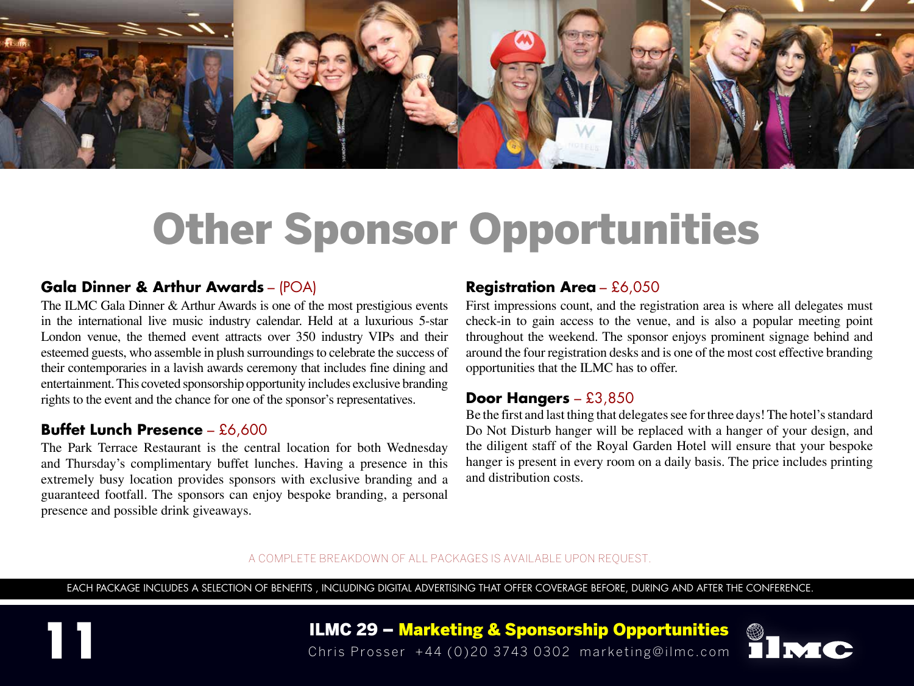

#### **Gala Dinner & Arthur Awards** – (POA)

The ILMC Gala Dinner & Arthur Awards is one of the most prestigious events in the international live music industry calendar. Held at a luxurious 5-star London venue, the themed event attracts over 350 industry VIPs and their esteemed guests, who assemble in plush surroundings to celebrate the success of their contemporaries in a lavish awards ceremony that includes fine dining and entertainment. This coveted sponsorship opportunity includes exclusive branding rights to the event and the chance for one of the sponsor's representatives.

#### **Buffet Lunch Presence** – £6,600

The Park Terrace Restaurant is the central location for both Wednesday and Thursday's complimentary buffet lunches. Having a presence in this extremely busy location provides sponsors with exclusive branding and a guaranteed footfall. The sponsors can enjoy bespoke branding, a personal presence and possible drink giveaways.

#### **Registration Area** – £6,050

First impressions count, and the registration area is where all delegates must check-in to gain access to the venue, and is also a popular meeting point throughout the weekend. The sponsor enjoys prominent signage behind and around the four registration desks and is one of the most cost effective branding opportunities that the ILMC has to offer.

#### **Door Hangers** – £3,850

Be the first and last thing that delegates see for three days! The hotel's standard Do Not Disturb hanger will be replaced with a hanger of your design, and the diligent staff of the Royal Garden Hotel will ensure that your bespoke hanger is present in every room on a daily basis. The price includes printing and distribution costs.

#### A COMPLETE BREAKDOWN OF ALL PACKAGES IS AVAILABLE UPON REQUEST.

EACH PACKAGE INCLUDES A SELECTION OF BENEFITS , INCLUDING DIGITAL ADVERTISING THAT OFFER COVERAGE BEFORE, DURING AND AFTER THE CONFERENCE.

**ILMC 29 – Marketing & Sponsorship Opportunities**<br>Chris Prosser +44 (0)20 3743 0302 marketing@ilmc.com

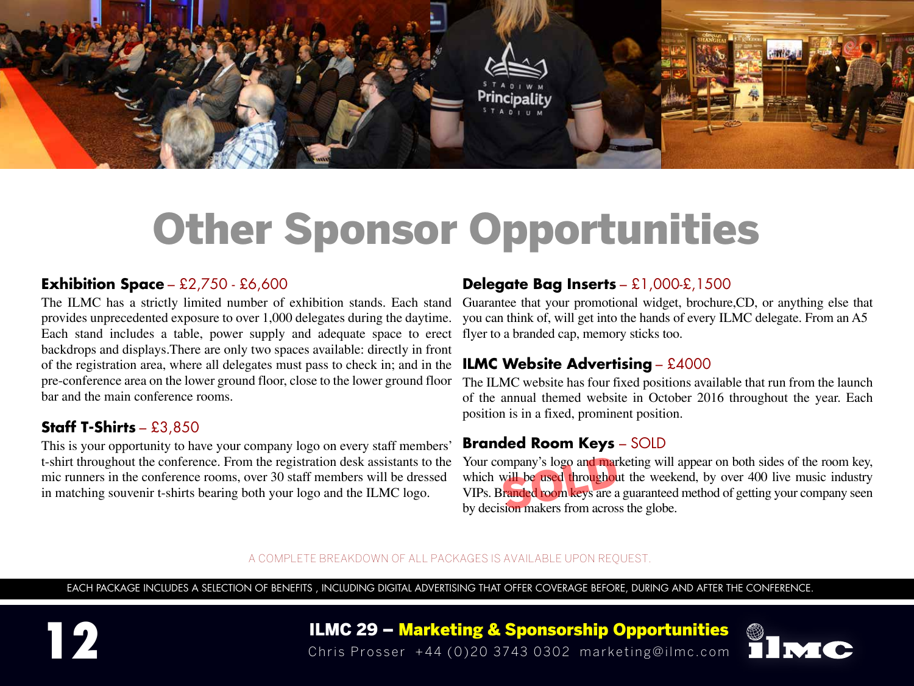

#### **Exhibition Space** – £2,750 - £6,600

The ILMC has a strictly limited number of exhibition stands. Each stand provides unprecedented exposure to over 1,000 delegates during the daytime. Each stand includes a table, power supply and adequate space to erect backdrops and displays.There are only two spaces available: directly in front of the registration area, where all delegates must pass to check in; and in the pre-conference area on the lower ground floor, close to the lower ground floor bar and the main conference rooms.

#### **Staff T-Shirts** – £3,850

This is your opportunity to have your company logo on every staff members' t-shirt throughout the conference. From the registration desk assistants to the mic runners in the conference rooms, over 30 staff members will be dressed in matching souvenir t-shirts bearing both your logo and the ILMC logo.

#### **Delegate Bag Inserts** – £1,000-£,1500

Guarantee that your promotional widget, brochure,CD, or anything else that you can think of, will get into the hands of every ILMC delegate. From an A5 flyer to a branded cap, memory sticks too.

#### **ILMC Website Advertising** – £4000

The ILMC website has four fixed positions available that run from the launch of the annual themed website in October 2016 throughout the year. Each position is in a fixed, prominent position.

#### **Branded Room Keys** – SOLD

Your company's logo and marketing will appear on both sides of the room key, which will be used throughout the weekend, by over 400 live music industry VIPs. Branded room keys are a guaranteed method of getting your compan which will be used throughout the weekend, by over 400 live music industry VIPs. Branded room keys are a guaranteed method of getting your company seen

#### A COMPLETE BREAKDOWN OF ALL PACKAGES IS AVAILABLE UPON REQUEST.

EACH PACKAGE INCLUDES A SELECTION OF BENEFITS , INCLUDING DIGITAL ADVERTISING THAT OFFER COVERAGE BEFORE, DURING AND AFTER THE CONFERENCE.



ILMC 29 – Marketing & Sponsorship Opportunities **12** Chris Prosser +44 (0)20 3743 0302 marketing@ilmc.com

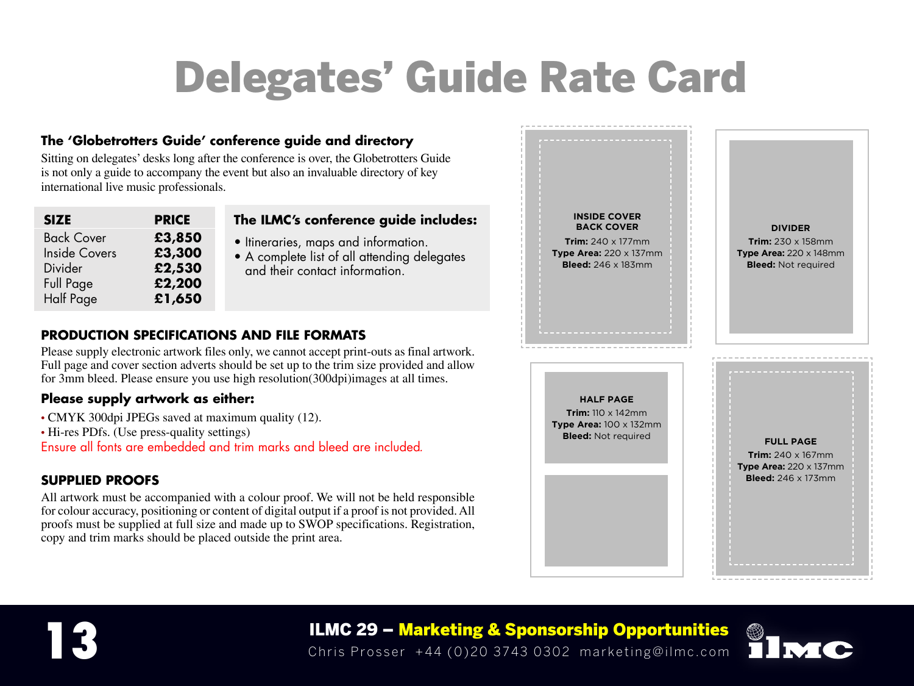## Delegates' Guide Rate Card

#### **The 'Globetrotters Guide' conference guide and directory**

Sitting on delegates' desks long after the conference is over, the Globetrotters Guide is not only a guide to accompany the event but also an invaluable directory of key international live music professionals.

| <b>SIZE</b>          | <b>PRICE</b> |
|----------------------|--------------|
| <b>Back Cover</b>    | £3,850       |
| <b>Inside Covers</b> | £3,300       |
| Divider              | £2,530       |
| <b>Full Page</b>     | £2,200       |
| <b>Half Page</b>     | £1,650       |

#### **The ILMC's conference guide includes:**

- Itineraries, maps and information.
- A complete list of all attending delegates and their contact information.

#### **PRODUCTION SPECIFICATIONS AND FILE FORMATS**

Please supply electronic artwork files only, we cannot accept print-outs as final artwork. Full page and cover section adverts should be set up to the trim size provided and allow for 3mm bleed. Please ensure you use high resolution(300dpi)images at all times.

#### **Please supply artwork as either:**

- CMYK 300dpi JPEGs saved at maximum quality (12).
- Hi-res PDfs. (Use press-quality settings)

Ensure all fonts are embedded and trim marks and bleed are included*.*

#### **SUPPLIED PROOFS**

All artwork must be accompanied with a colour proof. We will not be held responsible for colour accuracy, positioning or content of digital output if a proof is not provided. All proofs must be supplied at full size and made up to SWOP specifications. Registration, copy and trim marks should be placed outside the print area.





ILMC 29 – Marketing & Sponsorship Opportunities **13** Chris Prosser +44 (0)20 3743 0302 marketing@ilmc.com